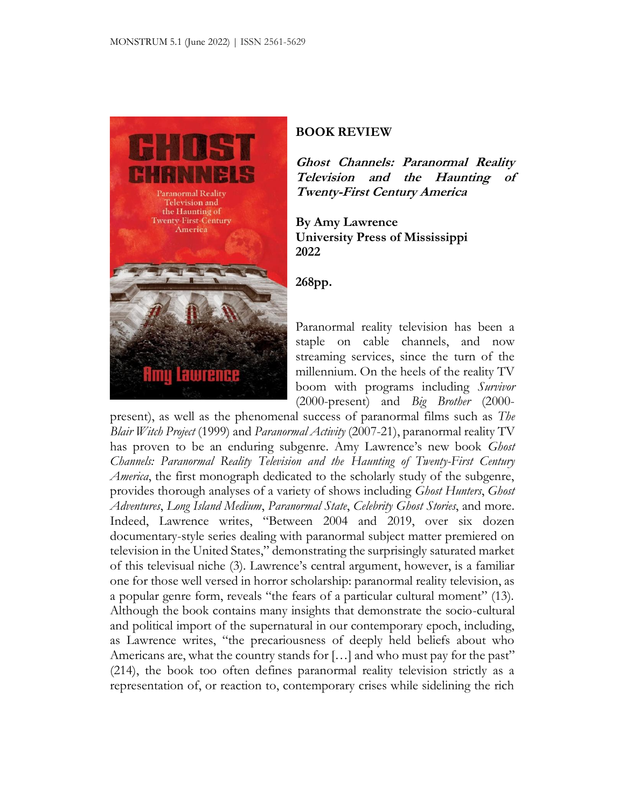

## **BOOK REVIEW**

**Ghost Channels: Paranormal Reality Television and the Haunting of Twenty-First Century America**

**By Amy Lawrence University Press of Mississippi 2022**

**268pp.**

Paranormal reality television has been a staple on cable channels, and now streaming services, since the turn of the millennium. On the heels of the reality TV boom with programs including *Survivor*  (2000-present) and *Big Brother* (2000-

present), as well as the phenomenal success of paranormal films such as *The Blair Witch Project* (1999) and *Paranormal Activity* (2007-21), paranormal reality TV has proven to be an enduring subgenre. Amy Lawrence's new book *Ghost Channels: Paranormal Reality Television and the Haunting of Twenty-First Century America*, the first monograph dedicated to the scholarly study of the subgenre, provides thorough analyses of a variety of shows including *Ghost Hunters*, *Ghost Adventures*, *Long Island Medium*, *Paranormal State*, *Celebrity Ghost Stories*, and more. Indeed, Lawrence writes, "Between 2004 and 2019, over six dozen documentary-style series dealing with paranormal subject matter premiered on television in the United States," demonstrating the surprisingly saturated market of this televisual niche (3). Lawrence's central argument, however, is a familiar one for those well versed in horror scholarship: paranormal reality television, as a popular genre form, reveals "the fears of a particular cultural moment" (13). Although the book contains many insights that demonstrate the socio-cultural and political import of the supernatural in our contemporary epoch, including, as Lawrence writes, "the precariousness of deeply held beliefs about who Americans are, what the country stands for [...] and who must pay for the past" (214), the book too often defines paranormal reality television strictly as a representation of, or reaction to, contemporary crises while sidelining the rich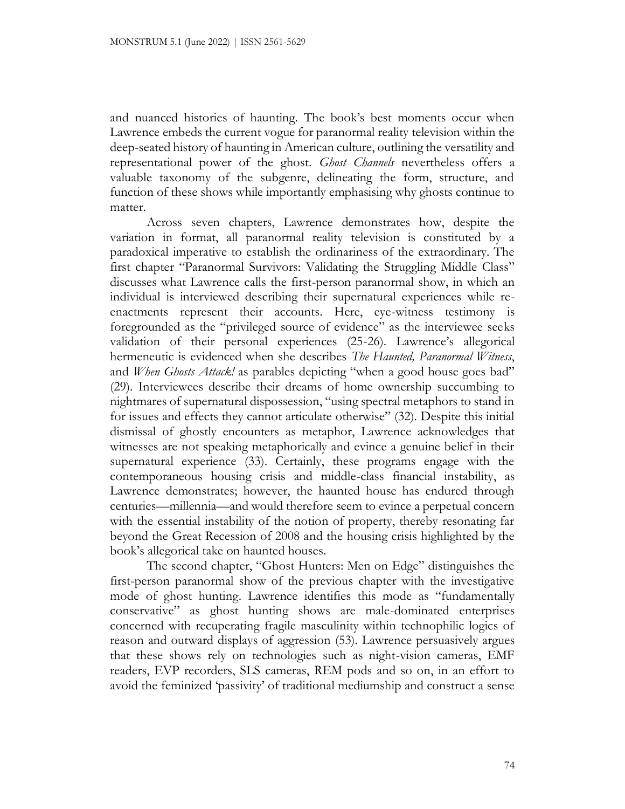and nuanced histories of haunting. The book's best moments occur when Lawrence embeds the current vogue for paranormal reality television within the deep-seated history of haunting in American culture, outlining the versatility and representational power of the ghost. *Ghost Channels* nevertheless offers a valuable taxonomy of the subgenre, delineating the form, structure, and function of these shows while importantly emphasising why ghosts continue to matter.

Across seven chapters, Lawrence demonstrates how, despite the variation in format, all paranormal reality television is constituted by a paradoxical imperative to establish the ordinariness of the extraordinary. The first chapter "Paranormal Survivors: Validating the Struggling Middle Class" discusses what Lawrence calls the first-person paranormal show, in which an individual is interviewed describing their supernatural experiences while reenactments represent their accounts. Here, eye-witness testimony is foregrounded as the "privileged source of evidence" as the interviewee seeks validation of their personal experiences (25-26). Lawrence's allegorical hermeneutic is evidenced when she describes *The Haunted, Paranormal Witness*, and *When Ghosts Attack!* as parables depicting "when a good house goes bad" (29). Interviewees describe their dreams of home ownership succumbing to nightmares of supernatural dispossession, "using spectral metaphors to stand in for issues and effects they cannot articulate otherwise" (32). Despite this initial dismissal of ghostly encounters as metaphor, Lawrence acknowledges that witnesses are not speaking metaphorically and evince a genuine belief in their supernatural experience (33). Certainly, these programs engage with the contemporaneous housing crisis and middle-class financial instability, as Lawrence demonstrates; however, the haunted house has endured through centuries—millennia—and would therefore seem to evince a perpetual concern with the essential instability of the notion of property, thereby resonating far beyond the Great Recession of 2008 and the housing crisis highlighted by the book's allegorical take on haunted houses.

The second chapter, "Ghost Hunters: Men on Edge" distinguishes the first-person paranormal show of the previous chapter with the investigative mode of ghost hunting. Lawrence identifies this mode as "fundamentally conservative" as ghost hunting shows are male-dominated enterprises concerned with recuperating fragile masculinity within technophilic logics of reason and outward displays of aggression (53). Lawrence persuasively argues that these shows rely on technologies such as night-vision cameras, EMF readers, EVP recorders, SLS cameras, REM pods and so on, in an effort to avoid the feminized 'passivity' of traditional mediumship and construct a sense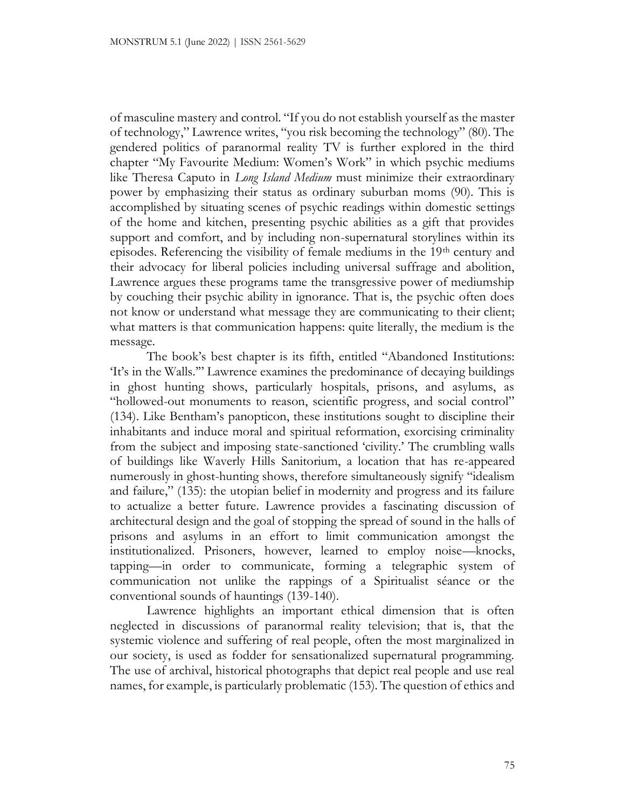of masculine mastery and control. "If you do not establish yourself as the master of technology," Lawrence writes, "you risk becoming the technology" (80). The gendered politics of paranormal reality TV is further explored in the third chapter "My Favourite Medium: Women's Work" in which psychic mediums like Theresa Caputo in *Long Island Medium* must minimize their extraordinary power by emphasizing their status as ordinary suburban moms (90). This is accomplished by situating scenes of psychic readings within domestic settings of the home and kitchen, presenting psychic abilities as a gift that provides support and comfort, and by including non-supernatural storylines within its episodes. Referencing the visibility of female mediums in the 19<sup>th</sup> century and their advocacy for liberal policies including universal suffrage and abolition, Lawrence argues these programs tame the transgressive power of mediumship by couching their psychic ability in ignorance. That is, the psychic often does not know or understand what message they are communicating to their client; what matters is that communication happens: quite literally, the medium is the message.

The book's best chapter is its fifth, entitled "Abandoned Institutions: 'It's in the Walls.'" Lawrence examines the predominance of decaying buildings in ghost hunting shows, particularly hospitals, prisons, and asylums, as "hollowed-out monuments to reason, scientific progress, and social control" (134). Like Bentham's panopticon, these institutions sought to discipline their inhabitants and induce moral and spiritual reformation, exorcising criminality from the subject and imposing state-sanctioned 'civility.' The crumbling walls of buildings like Waverly Hills Sanitorium, a location that has re-appeared numerously in ghost-hunting shows, therefore simultaneously signify "idealism and failure," (135): the utopian belief in modernity and progress and its failure to actualize a better future. Lawrence provides a fascinating discussion of architectural design and the goal of stopping the spread of sound in the halls of prisons and asylums in an effort to limit communication amongst the institutionalized. Prisoners, however, learned to employ noise—knocks, tapping—in order to communicate, forming a telegraphic system of communication not unlike the rappings of a Spiritualist séance or the conventional sounds of hauntings (139-140).

Lawrence highlights an important ethical dimension that is often neglected in discussions of paranormal reality television; that is, that the systemic violence and suffering of real people, often the most marginalized in our society, is used as fodder for sensationalized supernatural programming. The use of archival, historical photographs that depict real people and use real names, for example, is particularly problematic (153). The question of ethics and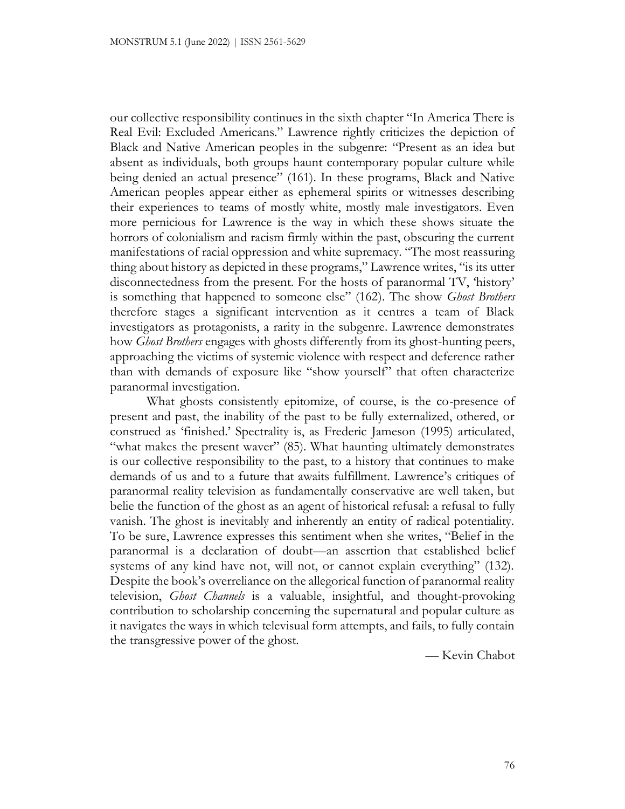our collective responsibility continues in the sixth chapter "In America There is Real Evil: Excluded Americans." Lawrence rightly criticizes the depiction of Black and Native American peoples in the subgenre: "Present as an idea but absent as individuals, both groups haunt contemporary popular culture while being denied an actual presence" (161). In these programs, Black and Native American peoples appear either as ephemeral spirits or witnesses describing their experiences to teams of mostly white, mostly male investigators. Even more pernicious for Lawrence is the way in which these shows situate the horrors of colonialism and racism firmly within the past, obscuring the current manifestations of racial oppression and white supremacy. "The most reassuring thing about history as depicted in these programs," Lawrence writes, "is its utter disconnectedness from the present. For the hosts of paranormal TV, 'history' is something that happened to someone else" (162). The show *Ghost Brothers* therefore stages a significant intervention as it centres a team of Black investigators as protagonists, a rarity in the subgenre. Lawrence demonstrates how *Ghost Brothers* engages with ghosts differently from its ghost-hunting peers, approaching the victims of systemic violence with respect and deference rather than with demands of exposure like "show yourself" that often characterize paranormal investigation.

What ghosts consistently epitomize, of course, is the co-presence of present and past, the inability of the past to be fully externalized, othered, or construed as 'finished.' Spectrality is, as Frederic Jameson (1995) articulated, "what makes the present waver" (85). What haunting ultimately demonstrates is our collective responsibility to the past, to a history that continues to make demands of us and to a future that awaits fulfillment. Lawrence's critiques of paranormal reality television as fundamentally conservative are well taken, but belie the function of the ghost as an agent of historical refusal: a refusal to fully vanish. The ghost is inevitably and inherently an entity of radical potentiality. To be sure, Lawrence expresses this sentiment when she writes, "Belief in the paranormal is a declaration of doubt—an assertion that established belief systems of any kind have not, will not, or cannot explain everything" (132). Despite the book's overreliance on the allegorical function of paranormal reality television, *Ghost Channels* is a valuable, insightful, and thought-provoking contribution to scholarship concerning the supernatural and popular culture as it navigates the ways in which televisual form attempts, and fails, to fully contain the transgressive power of the ghost.

— Kevin Chabot